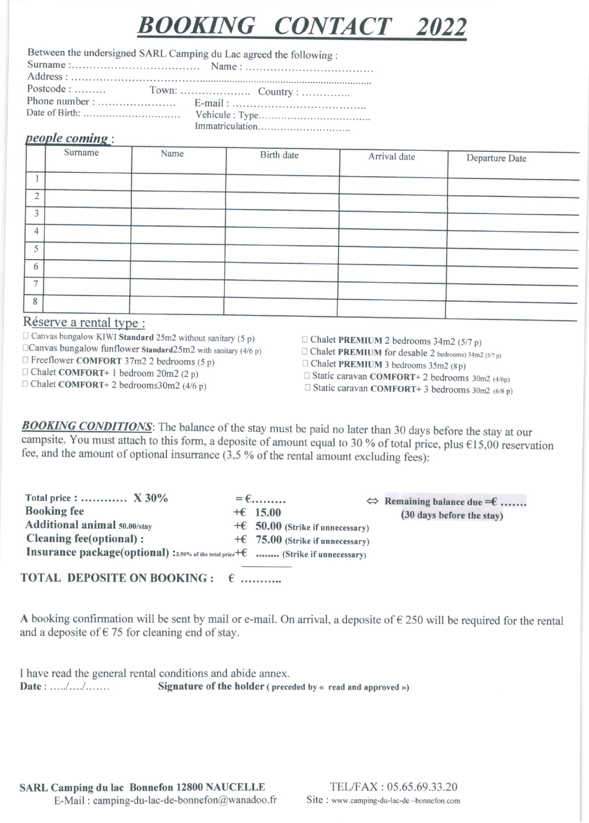# **BOOKING CONTACT 2022**

| Between the undersigned SARL Camping du Lac agreed the following: |  |  |
|-------------------------------------------------------------------|--|--|
|                                                                   |  |  |
|                                                                   |  |  |
|                                                                   |  |  |
|                                                                   |  |  |
|                                                                   |  |  |
|                                                                   |  |  |

### *people coming:*

|                | Surname                   | Name | Birth date |              |                |
|----------------|---------------------------|------|------------|--------------|----------------|
|                |                           |      |            | Arrival date | Departure Date |
|                |                           |      |            |              |                |
|                |                           |      |            |              |                |
| $\bigcap$      |                           |      |            |              |                |
|                |                           |      |            |              |                |
| 3              |                           |      |            |              |                |
|                |                           |      |            |              |                |
| $\overline{4}$ |                           |      |            |              |                |
|                |                           |      |            |              |                |
|                |                           |      |            |              |                |
| 6              |                           |      |            |              |                |
|                |                           |      |            |              |                |
|                |                           |      |            |              |                |
|                |                           |      |            |              |                |
| $8\phantom{.}$ |                           |      |            |              |                |
|                | $\mathbf{D}$ $\mathbf{L}$ |      |            |              |                |

### Réserve a rental type :

 $\Box$  Canvas bungalow KIWI Standard 25m2 without sanitary (5 p)

Canvas bungalow funflower Standard25m2 with sanitary (4/6 p)

 $\Box$  Freeflower COMFORT 37m2 2 bedrooms (5 p)

 $\Box$  Chalet COMFORT+ 1 bedroom 20m2 (2 p)

 $\Box$  Chalet COMFORT+ 2 bedrooms30m2 (4/6 p)

 $\Box$  Chalet PREMIUM 2 bedrooms 34m2 (5/7 p)

 $\Box$  Chalet PREMIUM for desable 2 bedrooms) 34m2 (5/7 p)

 $\Box$  Chalet PREMIUM 3 bedrooms 35m2 (8 p)

□ Static caravan COMFORT+ 2 bedrooms 30m2 (4/6p)

 $\Box$  Static caravan COMFORT+ 3 bedrooms 30m2 (6/8 p)

**BOOKING CONDITIONS**: The balance of the stay must be paid no later than 30 days before the stay at our campsite. You must attach to this form, a deposite of amount equal to 30 % of total price, plus  $615,00$  reservation fee, and the amount of optional insurrance  $(3,5\%$  of the rental amount excluding fees):

| $\Leftrightarrow$ Remaining balance due = $\varepsilon$                                    |
|--------------------------------------------------------------------------------------------|
| (30 days before the stay)                                                                  |
| $\pm \epsilon$ 50.00 (Strike if unnecessary)                                               |
| $\pm \epsilon$ 75.00 (Strike if unnecessary)                                               |
| Insurance package(optional) : 3.50% of the total price $+\epsilon$ (Strike if unnecessary) |
|                                                                                            |

TOTAL DEPOSITE ON BOOKING :  $\epsilon$  ..........

A booking confirmation will be sent by mail or e-mail. On arrival, a deposite of  $\epsilon$  250 will be required for the rental and a deposite of  $\epsilon$  75 for cleaning end of stay.

I have read the general rental conditions and abide annex. Date:  $\ldots$  /  $\ldots$  /  $\ldots$  ... Signature of the holder (preceded by « read and approved »)